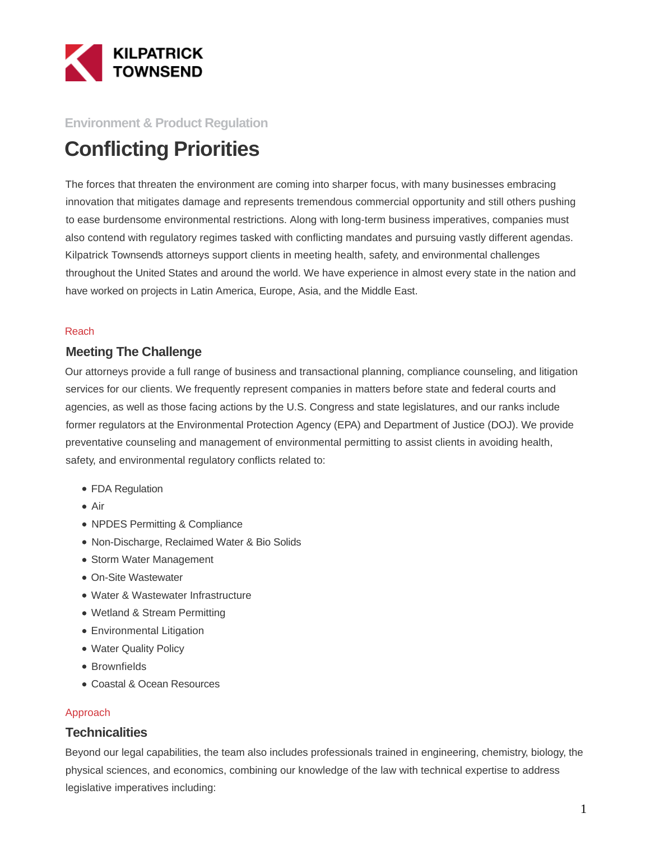

#### **Environment & Product Regulation**

# **Conflicting Priorities**

The forces that threaten the environment are coming into sharper focus, with many businesses embracing innovation that mitigates damage and represents tremendous commercial opportunity and still others pushing to ease burdensome environmental restrictions. Along with long-term business imperatives, companies must also contend with regulatory regimes tasked with conflicting mandates and pursuing vastly different agendas. Kilpatrick Townsend's attorneys support clients in meeting health, safety, and environmental challenges throughout the United States and around the world. We have experience in almost every state in the nation and have worked on projects in Latin America, Europe, Asia, and the Middle East.

#### Reach

#### **Meeting The Challenge**

Our attorneys provide a full range of business and transactional planning, compliance counseling, and litigation services for our clients. We frequently represent companies in matters before state and federal courts and agencies, as well as those facing actions by the U.S. Congress and state legislatures, and our ranks include former regulators at the Environmental Protection Agency (EPA) and Department of Justice (DOJ). We provide preventative counseling and management of environmental permitting to assist clients in avoiding health, safety, and environmental regulatory conflicts related to:

- FDA Regulation
- Air
- NPDES Permitting & Compliance
- Non-Discharge, Reclaimed Water & Bio Solids
- Storm Water Management
- On-Site Wastewater
- Water & Wastewater Infrastructure
- Wetland & Stream Permitting
- Environmental Litigation
- Water Quality Policy
- Brownfields
- Coastal & Ocean Resources

#### Approach

#### **Technicalities**

Beyond our legal capabilities, the team also includes professionals trained in engineering, chemistry, biology, the physical sciences, and economics, combining our knowledge of the law with technical expertise to address legislative imperatives including: